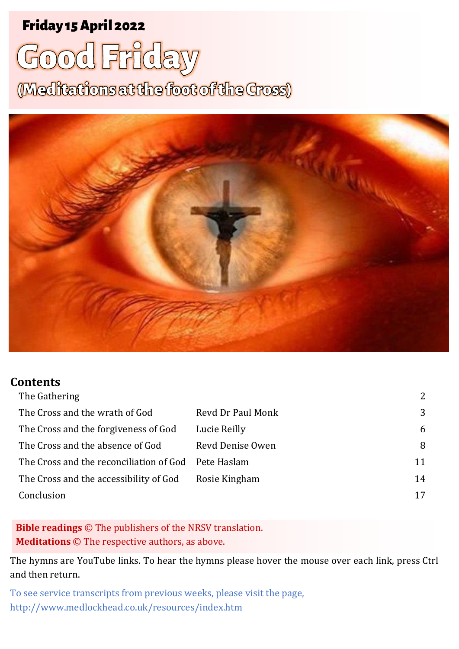## Friday 15 April 2022 <sup>1</sup> **Good Friday** Friday 15 April 2022

# **Good Friday**

(Meditations at the foot of the Gross)



#### **Contents**

|                                                     | $\overline{2}$ |
|-----------------------------------------------------|----------------|
| Revd Dr Paul Monk                                   | 3              |
| Lucie Reilly                                        | 6              |
| Revd Denise Owen                                    | 8              |
| The Cross and the reconciliation of God Pete Haslam | 11             |
| Rosie Kingham                                       | 14             |
|                                                     | 17             |
|                                                     |                |

**Bible readings** © The publishers of the NRSV translation. **Meditations** © The respective authors, as above.

The hymns are YouTube links. To hear the hymns please hover the mouse over each link, press Ctrl and then return.

To see service transcripts from previous weeks, please visit the page, <http://www.medlockhead.co.uk/resources/index.htm>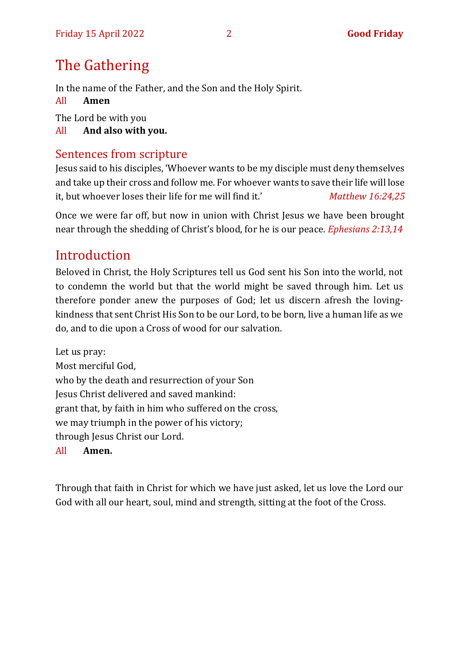## <span id="page-1-0"></span>The Gathering

In the name of the Father, and the Son and the Holy Spirit.

All **Amen**

The Lord be with you

All **And also with you.** 

## Sentences from scripture

Jesus said to his disciples, 'Whoever wants to be my disciple must deny themselves and take up their cross and follow me. For whoever wants to save their life will lose it, but whoever loses their life for me will find it.' *Matthew 16:24,25*

Once we were far off, but now in union with Christ Jesus we have been brought near through the shedding of Christ's blood, for he is our peace. *Ephesians 2:13,14*

## Introduction

Beloved in Christ, the Holy Scriptures tell us God sent his Son into the world, not to condemn the world but that the world might be saved through him. Let us therefore ponder anew the purposes of God; let us discern afresh the lovingkindness that sent Christ His Son to be our Lord, to be born, live a human life as we do, and to die upon a Cross of wood for our salvation.

Let us pray: Most merciful God, who by the death and resurrection of your Son Jesus Christ delivered and saved mankind: grant that, by faith in him who suffered on the cross, we may triumph in the power of his victory; through Jesus Christ our Lord.

#### All **Amen.**

Through that faith in Christ for which we have just asked, let us love the Lord our God with all our heart, soul, mind and strength, sitting at the foot of the Cross.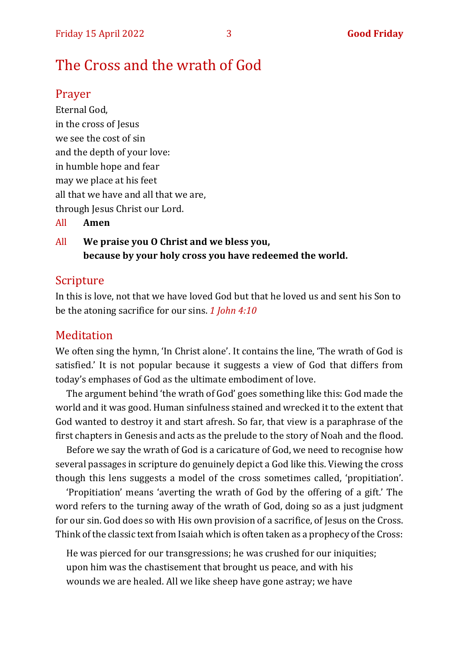## <span id="page-2-0"></span>The Cross and the wrath of God

#### Prayer

Eternal God, in the cross of Jesus we see the cost of sin and the depth of your love: in humble hope and fear may we place at his feet all that we have and all that we are, through Jesus Christ our Lord.

All **Amen**

All **We praise you O Christ and we bless you, because by your holy cross you have redeemed the world.**

#### Scripture

In this is love, not that we have loved God but that he loved us and sent his Son to be the atoning sacrifice for our sins. *1 John 4:10*

#### **Meditation**

We often sing the hymn, 'In Christ alone'. It contains the line, 'The wrath of God is satisfied.' It is not popular because it suggests a view of God that differs from today's emphases of God as the ultimate embodiment of love.

The argument behind 'the wrath of God' goes something like this: God made the world and it was good. Human sinfulness stained and wrecked it to the extent that God wanted to destroy it and start afresh. So far, that view is a paraphrase of the first chapters in Genesis and acts as the prelude to the story of Noah and the flood.

Before we say the wrath of God is a caricature of God, we need to recognise how several passages in scripture do genuinely depict a God like this. Viewing the cross though this lens suggests a model of the cross sometimes called, 'propitiation'.

'Propitiation' means 'averting the wrath of God by the offering of a gift.' The word refers to the turning away of the wrath of God, doing so as a just judgment for our sin. God does so with His own provision of a sacrifice, of Jesus on the Cross. Think of the classic text from Isaiah which is often taken as a prophecy of the Cross:

He was pierced for our transgressions; he was crushed for our iniquities; upon him was the chastisement that brought us peace, and with his wounds we are healed. All we like sheep have gone astray; we have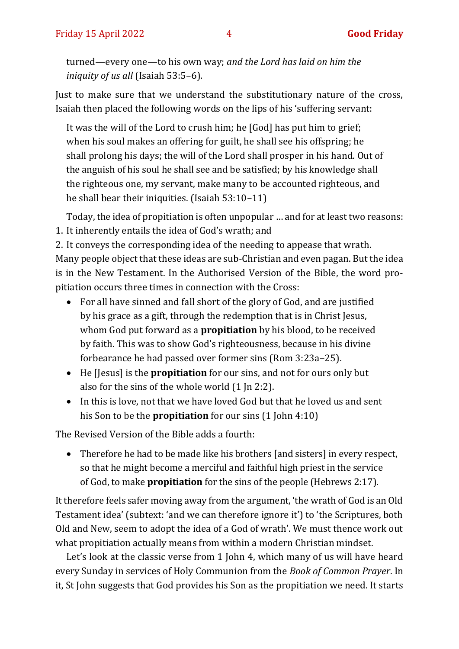turned—every one—to his own way; *and the Lord has laid on him the iniquity of us all* (Isaiah 53:5–6).

Just to make sure that we understand the substitutionary nature of the cross, Isaiah then placed the following words on the lips of his 'suffering servant:

It was the will of the Lord to crush him; he [God] has put him to grief; when his soul makes an offering for guilt, he shall see his offspring; he shall prolong his days; the will of the Lord shall prosper in his hand. Out of the anguish of his soul he shall see and be satisfied; by his knowledge shall the righteous one, my servant, make many to be accounted righteous, and he shall bear their iniquities. (Isaiah 53:10–11)

Today, the idea of propitiation is often unpopular … and for at least two reasons:

1. It inherently entails the idea of God's wrath; and

2. It conveys the corresponding idea of the needing to appease that wrath. Many people object that these ideas are sub-Christian and even pagan. But the idea is in the New Testament. In the Authorised Version of the Bible, the word propitiation occurs three times in connection with the Cross:

- For all have sinned and fall short of the glory of God, and are justified by his grace as a gift, through the redemption that is in Christ Jesus, whom God put forward as a **propitiation** by his blood, to be received by faith. This was to show God's righteousness, because in his divine forbearance he had passed over former sins (Rom 3:23a–25).
- He [Jesus] is the **propitiation** for our sins, and not for ours only but also for the sins of the whole world (1 Jn 2:2).
- In this is love, not that we have loved God but that he loved us and sent his Son to be the **propitiation** for our sins (1 John 4:10)

The Revised Version of the Bible adds a fourth:

• Therefore he had to be made like his brothers [and sisters] in every respect, so that he might become a merciful and faithful high priest in the service of God, to make **propitiation** for the sins of the people (Hebrews 2:17).

It therefore feels safer moving away from the argument, 'the wrath of God is an Old Testament idea' (subtext: 'and we can therefore ignore it') to 'the Scriptures, both Old and New, seem to adopt the idea of a God of wrath'. We must thence work out what propitiation actually means from within a modern Christian mindset.

Let's look at the classic verse from 1 John 4, which many of us will have heard every Sunday in services of Holy Communion from the *Book of Common Prayer*. In it, St John suggests that God provides his Son as the propitiation we need. It starts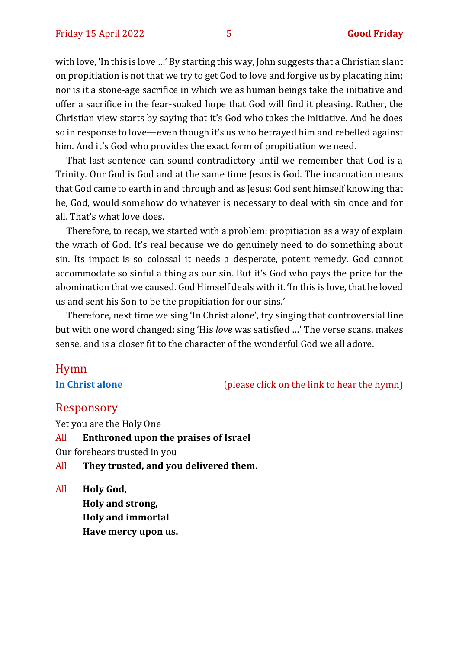with love, 'In this is love …' By starting this way, John suggests that a Christian slant on propitiation is not that we try to get God to love and forgive us by placating him; nor is it a stone-age sacrifice in which we as human beings take the initiative and offer a sacrifice in the fear-soaked hope that God will find it pleasing. Rather, the Christian view starts by saying that it's God who takes the initiative. And he does so in response to love—even though it's us who betrayed him and rebelled against him. And it's God who provides the exact form of propitiation we need.

That last sentence can sound contradictory until we remember that God is a Trinity. Our God is God and at the same time Jesus is God. The incarnation means that God came to earth in and through and as Jesus: God sent himself knowing that he, God, would somehow do whatever is necessary to deal with sin once and for all. That's what love does.

Therefore, to recap, we started with a problem: propitiation as a way of explain the wrath of God. It's real because we do genuinely need to do something about sin. Its impact is so colossal it needs a desperate, potent remedy. God cannot accommodate so sinful a thing as our sin. But it's God who pays the price for the abomination that we caused. God Himself deals with it. 'In this is love, that he loved us and sent his Son to be the propitiation for our sins.'

Therefore, next time we sing 'In Christ alone', try singing that controversial line but with one word changed: sing 'His *love* was satisfied …' The verse scans, makes sense, and is a closer fit to the character of the wonderful God we all adore.

## Hymn

**[In Christ alone](https://www.youtube.com/watch?v=8kvFtXphmMU)** (please click on the link to hear the hymn)

#### Responsory

Yet you are the Holy One

All **Enthroned upon the praises of Israel**

Our forebears trusted in you

- All **They trusted, and you delivered them.**
- All **Holy God, Holy and strong, Holy and immortal Have mercy upon us.**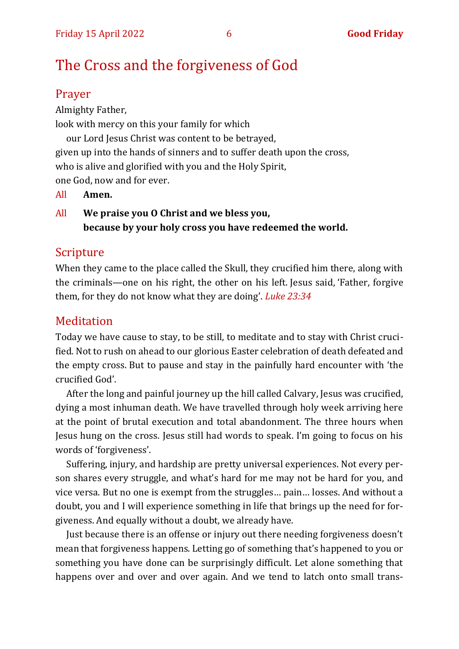## <span id="page-5-0"></span>The Cross and the forgiveness of God

#### Prayer

Almighty Father, look with mercy on this your family for which our Lord Jesus Christ was content to be betrayed, given up into the hands of sinners and to suffer death upon the cross, who is alive and glorified with you and the Holy Spirit, one God, now and for ever.

All **Amen.**

All **We praise you O Christ and we bless you, because by your holy cross you have redeemed the world.**

#### **Scripture**

When they came to the place called the Skull, they crucified him there, along with the criminals—one on his right, the other on his left. Jesus said, 'Father, forgive them, for they do not know what they are doing'. *Luke 23:34*

#### Meditation

Today we have cause to stay, to be still, to meditate and to stay with Christ crucified. Not to rush on ahead to our glorious Easter celebration of death defeated and the empty cross. But to pause and stay in the painfully hard encounter with 'the crucified God'.

After the long and painful journey up the hill called Calvary, Jesus was crucified, dying a most inhuman death. We have travelled through holy week arriving here at the point of brutal execution and total abandonment. The three hours when Jesus hung on the cross. Jesus still had words to speak. I'm going to focus on his words of 'forgiveness'.

Suffering, injury, and hardship are pretty universal experiences. Not every person shares every struggle, and what's hard for me may not be hard for you, and vice versa. But no one is exempt from the struggles… pain… losses. And without a doubt, you and I will experience something in life that brings up the need for forgiveness. And equally without a doubt, we already have.

Just because there is an offense or injury out there needing forgiveness doesn't mean that forgiveness happens. Letting go of something that's happened to you or something you have done can be surprisingly difficult. Let alone something that happens over and over and over again. And we tend to latch onto small trans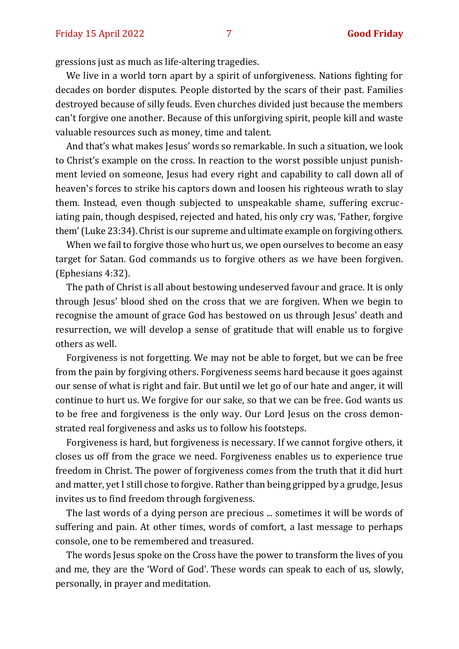gressions just as much as life-altering tragedies.

We live in a world torn apart by a spirit of unforgiveness. Nations fighting for decades on border disputes. People distorted by the scars of their past. Families destroyed because of silly feuds. Even churches divided just because the members can't forgive one another. Because of this unforgiving spirit, people kill and waste valuable resources such as money, time and talent.

And that's what makes Jesus' words so remarkable. In such a situation, we look to Christ's example on the cross. In reaction to the worst possible unjust punishment levied on someone, Jesus had every right and capability to call down all of heaven's forces to strike his captors down and loosen his righteous wrath to slay them. Instead, even though subjected to unspeakable shame, suffering excruciating pain, though despised, rejected and hated, his only cry was, 'Father, forgive them' (Luke 23:34). Christ is our supreme and ultimate example on forgiving others.

When we fail to forgive those who hurt us, we open ourselves to become an easy target for Satan. God commands us to forgive others as we have been forgiven. (Ephesians 4:32).

The path of Christ is all about bestowing undeserved favour and grace. It is only through Jesus' blood shed on the cross that we are forgiven. When we begin to recognise the amount of grace God has bestowed on us through Jesus' death and resurrection, we will develop a sense of gratitude that will enable us to forgive others as well.

Forgiveness is not forgetting. We may not be able to forget, but we can be free from the pain by forgiving others. Forgiveness seems hard because it goes against our sense of what is right and fair. But until we let go of our hate and anger, it will continue to hurt us. We forgive for our sake, so that we can be free. God wants us to be free and forgiveness is the only way. Our Lord Jesus on the cross demonstrated real forgiveness and asks us to follow his footsteps.

Forgiveness is hard, but forgiveness is necessary. If we cannot forgive others, it closes us off from the grace we need. Forgiveness enables us to experience true freedom in Christ. The power of forgiveness comes from the truth that it did hurt and matter, yet I still chose to forgive. Rather than being gripped by a grudge, Jesus invites us to find freedom through forgiveness.

The last words of a dying person are precious ... sometimes it will be words of suffering and pain. At other times, words of comfort, a last message to perhaps console, one to be remembered and treasured.

The words Jesus spoke on the Cross have the power to transform the lives of you and me, they are the 'Word of God'. These words can speak to each of us, slowly, personally, in prayer and meditation.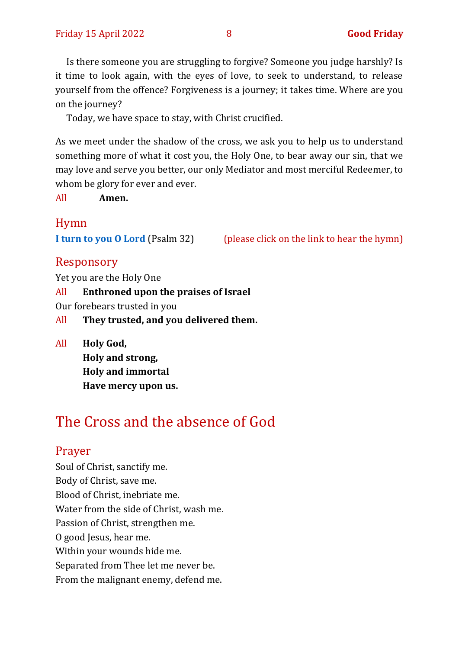Is there someone you are struggling to forgive? Someone you judge harshly? Is it time to look again, with the eyes of love, to seek to understand, to release yourself from the offence? Forgiveness is a journey; it takes time. Where are you on the journey?

Today, we have space to stay, with Christ crucified.

As we meet under the shadow of the cross, we ask you to help us to understand something more of what it cost you, the Holy One, to bear away our sin, that we may love and serve you better, our only Mediator and most merciful Redeemer, to whom be glory for ever and ever.

All **Amen.**

#### Hymn

**[I turn to you](https://www.youtube.com/watch?v=3BY8HKyN9rQ) O Lord** (Psalm 32) (please click on the link to hear the hymn)

#### Responsory

Yet you are the Holy One

All **Enthroned upon the praises of Israel** Our forebears trusted in you All **They trusted, and you delivered them.**

All **Holy God, Holy and strong, Holy and immortal Have mercy upon us.**

## <span id="page-7-0"></span>The Cross and the absence of God

#### Prayer

Soul of Christ, sanctify me. Body of Christ, save me. Blood of Christ, inebriate me. Water from the side of Christ, wash me. Passion of Christ, strengthen me. O good Jesus, hear me. Within your wounds hide me. Separated from Thee let me never be. From the malignant enemy, defend me.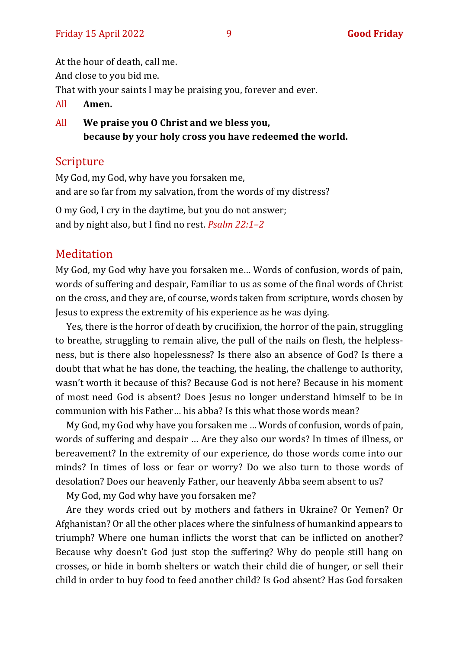At the hour of death, call me. And close to you bid me. That with your saints I may be praising you, forever and ever.

- All **Amen.**
- All **We praise you O Christ and we bless you, because by your holy cross you have redeemed the world.**

#### **Scripture**

My God, my God, why have you forsaken me, and are so far from my salvation, from the words of my distress?

O my God, I cry in the daytime, but you do not answer; and by night also, but I find no rest. *Psalm 22:1–2*

#### Meditation

My God, my God why have you forsaken me… Words of confusion, words of pain, words of suffering and despair, Familiar to us as some of the final words of Christ on the cross, and they are, of course, words taken from scripture, words chosen by Jesus to express the extremity of his experience as he was dying.

Yes, there is the horror of death by crucifixion, the horror of the pain, struggling to breathe, struggling to remain alive, the pull of the nails on flesh, the helplessness, but is there also hopelessness? Is there also an absence of God? Is there a doubt that what he has done, the teaching, the healing, the challenge to authority, wasn't worth it because of this? Because God is not here? Because in his moment of most need God is absent? Does Jesus no longer understand himself to be in communion with his Father… his abba? Is this what those words mean?

My God, my God why have you forsaken me … Words of confusion, words of pain, words of suffering and despair … Are they also our words? In times of illness, or bereavement? In the extremity of our experience, do those words come into our minds? In times of loss or fear or worry? Do we also turn to those words of desolation? Does our heavenly Father, our heavenly Abba seem absent to us?

My God, my God why have you forsaken me?

Are they words cried out by mothers and fathers in Ukraine? Or Yemen? Or Afghanistan? Or all the other places where the sinfulness of humankind appears to triumph? Where one human inflicts the worst that can be inflicted on another? Because why doesn't God just stop the suffering? Why do people still hang on crosses, or hide in bomb shelters or watch their child die of hunger, or sell their child in order to buy food to feed another child? Is God absent? Has God forsaken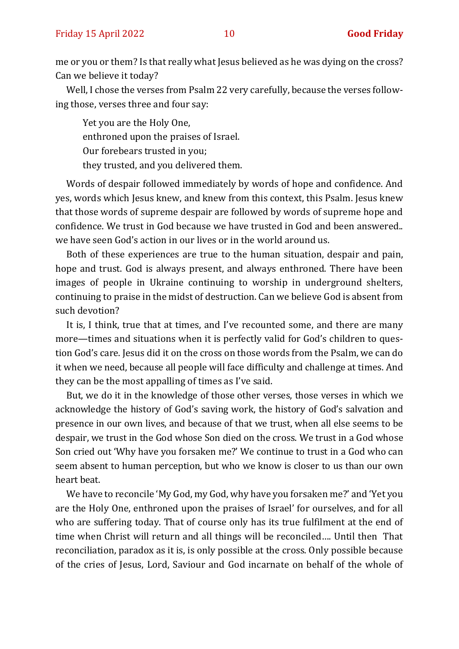me or you or them? Is that really what Jesus believed as he was dying on the cross? Can we believe it today?

Well, I chose the verses from Psalm 22 very carefully, because the verses following those, verses three and four say:

Yet you are the Holy One, enthroned upon the praises of Israel. Our forebears trusted in you; they trusted, and you delivered them.

Words of despair followed immediately by words of hope and confidence. And yes, words which Jesus knew, and knew from this context, this Psalm. Jesus knew that those words of supreme despair are followed by words of supreme hope and confidence. We trust in God because we have trusted in God and been answered.. we have seen God's action in our lives or in the world around us.

Both of these experiences are true to the human situation, despair and pain, hope and trust. God is always present, and always enthroned. There have been images of people in Ukraine continuing to worship in underground shelters, continuing to praise in the midst of destruction. Can we believe God is absent from such devotion?

It is, I think, true that at times, and I've recounted some, and there are many more—times and situations when it is perfectly valid for God's children to question God's care. Jesus did it on the cross on those words from the Psalm, we can do it when we need, because all people will face difficulty and challenge at times. And they can be the most appalling of times as I've said.

But, we do it in the knowledge of those other verses, those verses in which we acknowledge the history of God's saving work, the history of God's salvation and presence in our own lives, and because of that we trust, when all else seems to be despair, we trust in the God whose Son died on the cross. We trust in a God whose Son cried out 'Why have you forsaken me?' We continue to trust in a God who can seem absent to human perception, but who we know is closer to us than our own heart beat.

We have to reconcile 'My God, my God, why have you forsaken me?' and 'Yet you are the Holy One, enthroned upon the praises of Israel' for ourselves, and for all who are suffering today. That of course only has its true fulfilment at the end of time when Christ will return and all things will be reconciled…. Until then That reconciliation, paradox as it is, is only possible at the cross. Only possible because of the cries of Jesus, Lord, Saviour and God incarnate on behalf of the whole of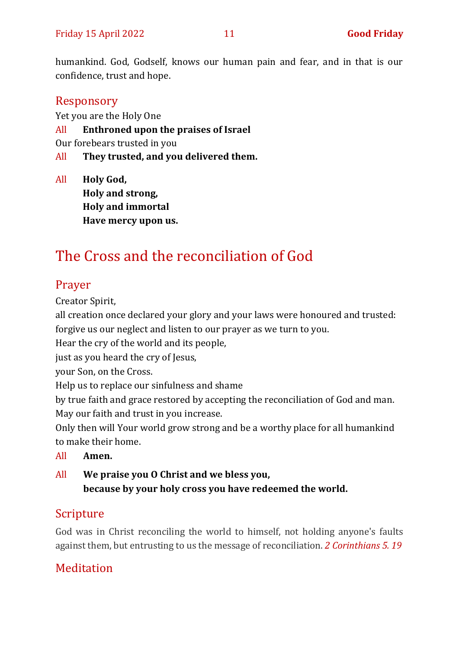humankind. God, Godself, knows our human pain and fear, and in that is our confidence, trust and hope.

#### Responsory

Yet you are the Holy One

- All **Enthroned upon the praises of Israel**
- Our forebears trusted in you
- All **They trusted, and you delivered them.**

All **Holy God, Holy and strong, Holy and immortal Have mercy upon us.**

## <span id="page-10-0"></span>The Cross and the reconciliation of God

#### Prayer

Creator Spirit,

all creation once declared your glory and your laws were honoured and trusted: forgive us our neglect and listen to our prayer as we turn to you.

Hear the cry of the world and its people,

just as you heard the cry of Jesus,

your Son, on the Cross.

Help us to replace our sinfulness and shame

by true faith and grace restored by accepting the reconciliation of God and man. May our faith and trust in you increase.

Only then will Your world grow strong and be a worthy place for all humankind to make their home.

All **Amen.**

All **We praise you O Christ and we bless you, because by your holy cross you have redeemed the world.**

## Scripture

God was in Christ reconciling the world to himself, not holding anyone's faults against them, but entrusting to us the message of reconciliation. *2 Corinthians 5. 19*

#### **Meditation**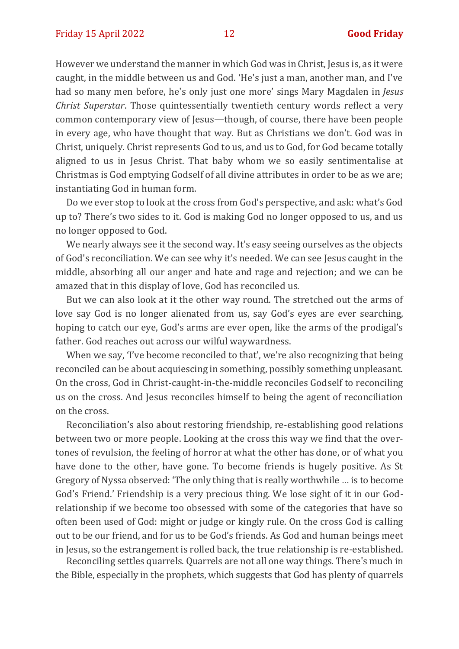However we understand the manner in which God was in Christ, Jesus is, as it were caught, in the middle between us and God. 'He's just a man, another man, and I've had so many men before, he's only just one more' sings Mary Magdalen in *Jesus Christ Superstar*. Those quintessentially twentieth century words reflect a very common contemporary view of Jesus—though, of course, there have been people in every age, who have thought that way. But as Christians we don't. God was in Christ, uniquely. Christ represents God to us, and us to God, for God became totally aligned to us in Jesus Christ. That baby whom we so easily sentimentalise at Christmas is God emptying Godself of all divine attributes in order to be as we are; instantiating God in human form.

Do we ever stop to look at the cross from God's perspective, and ask: what's God up to? There's two sides to it. God is making God no longer opposed to us, and us no longer opposed to God.

We nearly always see it the second way. It's easy seeing ourselves as the objects of God's reconciliation. We can see why it's needed. We can see Jesus caught in the middle, absorbing all our anger and hate and rage and rejection; and we can be amazed that in this display of love, God has reconciled us.

But we can also look at it the other way round. The stretched out the arms of love say God is no longer alienated from us, say God's eyes are ever searching, hoping to catch our eye, God's arms are ever open, like the arms of the prodigal's father. God reaches out across our wilful waywardness.

When we say, 'I've become reconciled to that', we're also recognizing that being reconciled can be about acquiescing in something, possibly something unpleasant. On the cross, God in Christ-caught-in-the-middle reconciles Godself to reconciling us on the cross. And Jesus reconciles himself to being the agent of reconciliation on the cross.

Reconciliation's also about restoring friendship, re-establishing good relations between two or more people. Looking at the cross this way we find that the overtones of revulsion, the feeling of horror at what the other has done, or of what you have done to the other, have gone. To become friends is hugely positive. As St Gregory of Nyssa observed: 'The only thing that is really worthwhile … is to become God's Friend.' Friendship is a very precious thing. We lose sight of it in our Godrelationship if we become too obsessed with some of the categories that have so often been used of God: might or judge or kingly rule. On the cross God is calling out to be our friend, and for us to be God's friends. As God and human beings meet in Jesus, so the estrangement is rolled back, the true relationship is re-established.

Reconciling settles quarrels. Quarrels are not all one way things. There's much in the Bible, especially in the prophets, which suggests that God has plenty of quarrels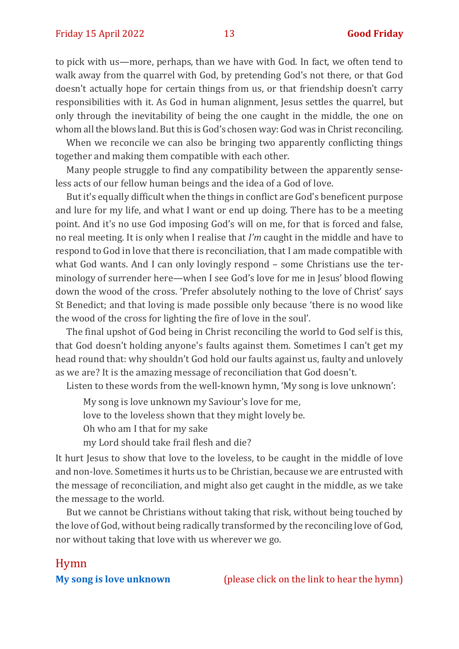to pick with us—more, perhaps, than we have with God. In fact, we often tend to walk away from the quarrel with God, by pretending God's not there, or that God doesn't actually hope for certain things from us, or that friendship doesn't carry responsibilities with it. As God in human alignment, Jesus settles the quarrel, but only through the inevitability of being the one caught in the middle, the one on whom all the blows land. But this is God's chosen way: God was in Christ reconciling.

When we reconcile we can also be bringing two apparently conflicting things together and making them compatible with each other.

Many people struggle to find any compatibility between the apparently senseless acts of our fellow human beings and the idea of a God of love.

But it's equally difficult when the things in conflict are God's beneficent purpose and lure for my life, and what I want or end up doing. There has to be a meeting point. And it's no use God imposing God's will on me, for that is forced and false, no real meeting. It is only when I realise that *I'm* caught in the middle and have to respond to God in love that there is reconciliation, that I am made compatible with what God wants. And I can only lovingly respond – some Christians use the terminology of surrender here—when I see God's love for me in Jesus' blood flowing down the wood of the cross. 'Prefer absolutely nothing to the love of Christ' says St Benedict; and that loving is made possible only because 'there is no wood like the wood of the cross for lighting the fire of love in the soul'.

The final upshot of God being in Christ reconciling the world to God self is this, that God doesn't holding anyone's faults against them. Sometimes I can't get my head round that: why shouldn't God hold our faults against us, faulty and unlovely as we are? It is the amazing message of reconciliation that God doesn't.

Listen to these words from the well-known hymn, 'My song is love unknown':

My song is love unknown my Saviour's love for me,

love to the loveless shown that they might lovely be.

Oh who am I that for my sake

my Lord should take frail flesh and die?

It hurt Jesus to show that love to the loveless, to be caught in the middle of love and non-love. Sometimes it hurts us to be Christian, because we are entrusted with the message of reconciliation, and might also get caught in the middle, as we take the message to the world.

But we cannot be Christians without taking that risk, without being touched by the love of God, without being radically transformed by the reconciling love of God, nor without taking that love with us wherever we go.

#### Hymn

**[My song is love unknown](https://www.youtube.com/watch?v=oOEjZb-rHc0)** (please click on the link to hear the hymn)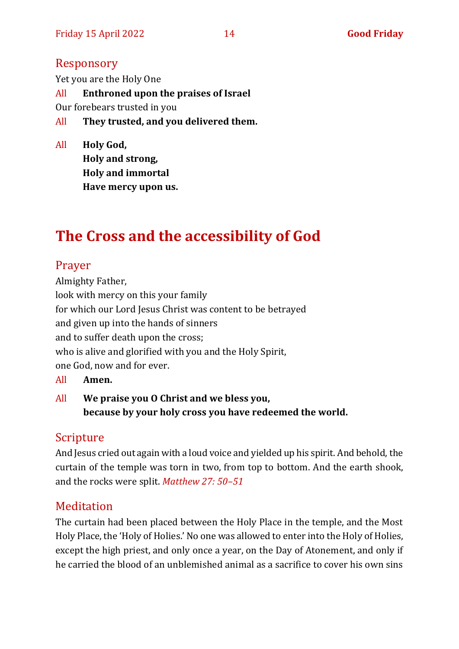#### Responsory

Yet you are the Holy One All **Enthroned upon the praises of Israel** Our forebears trusted in you All **They trusted, and you delivered them.**

All **Holy God, Holy and strong, Holy and immortal Have mercy upon us.**

## <span id="page-13-0"></span>**The Cross and the accessibility of God**

#### Prayer

Almighty Father, look with mercy on this your family for which our Lord Jesus Christ was content to be betrayed and given up into the hands of sinners and to suffer death upon the cross; who is alive and glorified with you and the Holy Spirit, one God, now and for ever.

- All **Amen.**
- All **We praise you O Christ and we bless you, because by your holy cross you have redeemed the world.**

#### Scripture

And Jesus cried out again with a loud voice and yielded up his spirit. And behold, the curtain of the temple was torn in two, from top to bottom. And the earth shook, and the rocks were split. *[Matthew 27: 50](about:blank)–51*

#### **Meditation**

The curtain had been placed between the Holy Place in the temple, and the Most Holy Place, the 'Holy of Holies.' No one was allowed to enter into the Holy of Holies, except the high priest, and only once a year, on the Day of Atonement, and only if he carried the blood of an unblemished animal as a sacrifice to cover his own sins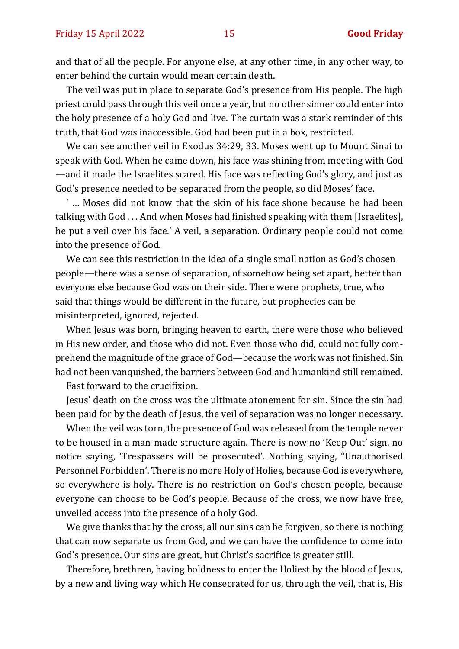and that of all the people. For anyone else, at any other time, in any other way, to enter behind the curtain would mean certain death.

The veil was put in place to separate God's presence from His people. The high priest could pass through this veil once a year, but no other sinner could enter into the holy presence of a holy God and live. The curtain was a stark reminder of this truth, that God was inaccessible. God had been put in a box, restricted.

We can see another veil in Exodus 34:29, 33. Moses went up to Mount Sinai to speak with God. When he came down, his face was shining from meeting with God —and it made the Israelites scared. His face was reflecting God's glory, and just as God's presence needed to be separated from the people, so did Moses' face.

' … Moses did not know that the skin of his face shone because he had been talking with God . . . And when Moses had finished speaking with them [Israelites], he put a veil over his face.' A veil, a separation. Ordinary people could not come into the presence of God.

We can see this restriction in the idea of a single small nation as God's chosen people—there was a sense of separation, of somehow being set apart, better than everyone else because God was on their side. There were prophets, true, who said that things would be different in the future, but prophecies can be misinterpreted, ignored, rejected.

When Jesus was born, bringing heaven to earth, there were those who believed in His new order, and those who did not. Even those who did, could not fully comprehend the magnitude of the grace of God—because the work was not finished. Sin had not been vanquished, the barriers between God and humankind still remained.

Fast forward to the crucifixion.

Jesus' death on the cross was the ultimate atonement for sin. Since the sin had been paid for by the death of Jesus, the veil of separation was no longer necessary.

When the veil was torn, the presence of God was released from the temple never to be housed in a man-made structure again. There is now no 'Keep Out' sign, no notice saying, 'Trespassers will be prosecuted'. Nothing saying, "Unauthorised Personnel Forbidden'. There is no more Holy of Holies, because God is everywhere, so everywhere is holy. There is no restriction on God's chosen people, because everyone can choose to be God's people. Because of the cross, we now have free, unveiled access into the presence of a holy God.

We give thanks that by the cross, all our sins can be forgiven, so there is nothing that can now separate us from God, and we can have the confidence to come into God's presence. Our sins are great, but Christ's sacrifice is greater still.

Therefore, brethren, having boldness to enter the Holiest by the blood of Jesus, by a new and living way which He consecrated for us, through the veil, that is, His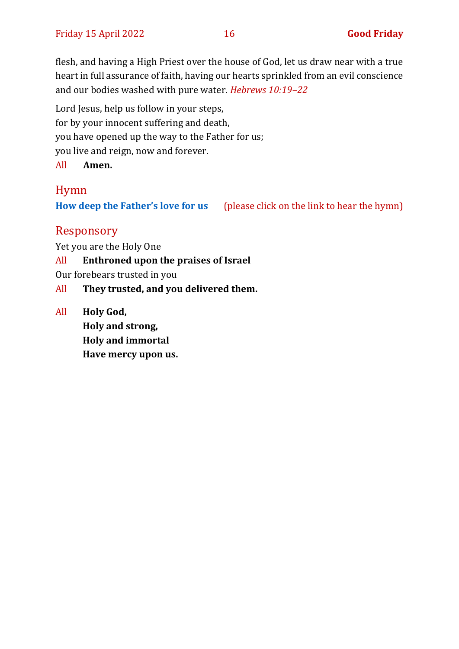flesh, and having a High Priest over the house of God, let us draw near with a true heart in full assurance of faith, having our hearts sprinkled from an evil conscience and our bodies washed with pure water. *[Hebrews 10:19](about:blank)–22*

Lord Jesus, help us follow in your steps, for by your innocent suffering and death, you have opened up the way to the Father for us; you live and reign, now and forever. All **Amen.**

#### Hymn

**[How deep the Father's love for us](https://www.google.com/url?sa=t&source=web&rct=j&url=https://m.youtube.com/watch%3Fv%3De9FG12eTSbI&ved=2ahUKEwiQ7OLW5pP3AhXhlFwKHQAqB9oQwqsBegQIaBAE&usg=AOvVaw2VxUEuoNHjNJEjqaweEs6z)** (please click on the link to hear the hymn)

#### Responsory

Yet you are the Holy One

- All **Enthroned upon the praises of Israel**
- Our forebears trusted in you
- All **They trusted, and you delivered them.**
- All **Holy God, Holy and strong, Holy and immortal Have mercy upon us.**